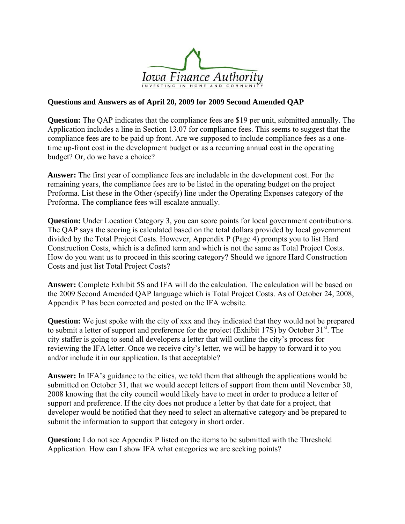

### **Questions and Answers as of April 20, 2009 for 2009 Second Amended QAP**

**Question:** The QAP indicates that the compliance fees are \$19 per unit, submitted annually. The Application includes a line in Section 13.07 for compliance fees. This seems to suggest that the compliance fees are to be paid up front. Are we supposed to include compliance fees as a onetime up-front cost in the development budget or as a recurring annual cost in the operating budget? Or, do we have a choice?

**Answer:** The first year of compliance fees are includable in the development cost. For the remaining years, the compliance fees are to be listed in the operating budget on the project Proforma. List these in the Other (specify) line under the Operating Expenses category of the Proforma. The compliance fees will escalate annually.

**Question:** Under Location Category 3, you can score points for local government contributions. The QAP says the scoring is calculated based on the total dollars provided by local government divided by the Total Project Costs. However, Appendix P (Page 4) prompts you to list Hard Construction Costs, which is a defined term and which is not the same as Total Project Costs. How do you want us to proceed in this scoring category? Should we ignore Hard Construction Costs and just list Total Project Costs?

**Answer:** Complete Exhibit 5S and IFA will do the calculation. The calculation will be based on the 2009 Second Amended QAP language which is Total Project Costs. As of October 24, 2008, Appendix P has been corrected and posted on the IFA website.

**Question:** We just spoke with the city of xxx and they indicated that they would not be prepared to submit a letter of support and preference for the project (Exhibit 17S) by October 31<sup>st</sup>. The city staffer is going to send all developers a letter that will outline the city's process for reviewing the IFA letter. Once we receive city's letter, we will be happy to forward it to you and/or include it in our application. Is that acceptable?

**Answer:** In IFA's guidance to the cities, we told them that although the applications would be submitted on October 31, that we would accept letters of support from them until November 30, 2008 knowing that the city council would likely have to meet in order to produce a letter of support and preference. If the city does not produce a letter by that date for a project, that developer would be notified that they need to select an alternative category and be prepared to submit the information to support that category in short order.

**Question:** I do not see Appendix P listed on the items to be submitted with the Threshold Application. How can I show IFA what categories we are seeking points?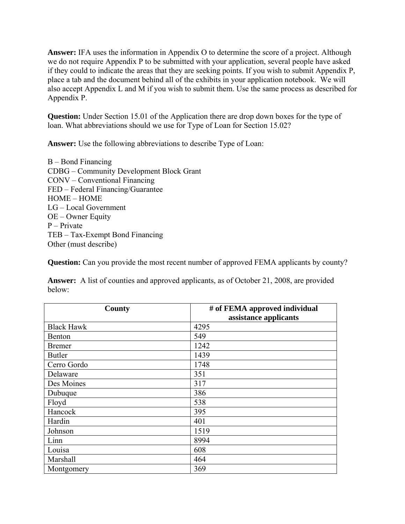**Answer:** IFA uses the information in Appendix O to determine the score of a project. Although we do not require Appendix P to be submitted with your application, several people have asked if they could to indicate the areas that they are seeking points. If you wish to submit Appendix P, place a tab and the document behind all of the exhibits in your application notebook. We will also accept Appendix L and M if you wish to submit them. Use the same process as described for Appendix P.

**Question:** Under Section 15.01 of the Application there are drop down boxes for the type of loan. What abbreviations should we use for Type of Loan for Section 15.02?

**Answer:** Use the following abbreviations to describe Type of Loan:

B – Bond Financing CDBG – Community Development Block Grant CONV – Conventional Financing FED – Federal Financing/Guarantee HOME – HOME LG – Local Government OE – Owner Equity P – Private TEB – Tax-Exempt Bond Financing Other (must describe)

**Question:** Can you provide the most recent number of approved FEMA applicants by county?

**Answer:** A list of counties and approved applicants, as of October 21, 2008, are provided below:

| <b>County</b>     | # of FEMA approved individual |
|-------------------|-------------------------------|
|                   | assistance applicants         |
| <b>Black Hawk</b> | 4295                          |
| Benton            | 549                           |
| <b>Bremer</b>     | 1242                          |
| <b>Butler</b>     | 1439                          |
| Cerro Gordo       | 1748                          |
| Delaware          | 351                           |
| Des Moines        | 317                           |
| Dubuque           | 386                           |
| Floyd             | 538                           |
| Hancock           | 395                           |
| Hardin            | 401                           |
| Johnson           | 1519                          |
| Linn              | 8994                          |
| Louisa            | 608                           |
| Marshall          | 464                           |
| Montgomery        | 369                           |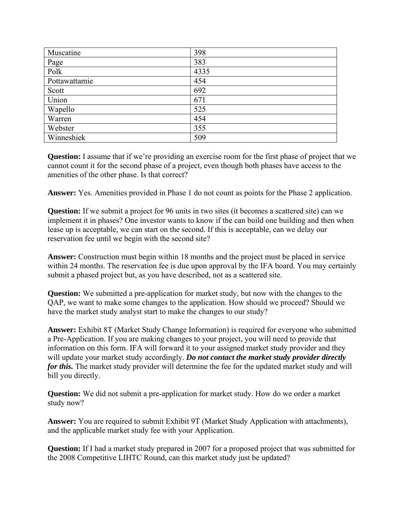| Muscatine     | 398  |
|---------------|------|
| Page          | 383  |
| Polk          | 4335 |
| Pottawattamie | 454  |
| Scott         | 692  |
| Union         | 671  |
| Wapello       | 525  |
| Warren        | 454  |
| Webster       | 355  |
| Winneshiek    | 509  |

**Question:** I assume that if we're providing an exercise room for the first phase of project that we cannot count it for the second phase of a project, even though both phases have access to the amenities of the other phase. Is that correct?

**Answer:** Yes. Amenities provided in Phase 1 do not count as points for the Phase 2 application.

**Question:** If we submit a project for 96 units in two sites (it becomes a scattered site) can we implement it in phases? One investor wants to know if the can build one building and then when lease up is acceptable, we can start on the second. If this is acceptable, can we delay our reservation fee until we begin with the second site?

**Answer:** Construction must begin within 18 months and the project must be placed in service within 24 months. The reservation fee is due upon approval by the IFA board. You may certainly submit a phased project but, as you have described, not as a scattered site.

**Question:** We submitted a pre-application for market study, but now with the changes to the QAP, we want to make some changes to the application. How should we proceed? Should we have the market study analyst start to make the changes to our study?

**Answer:** Exhibit 8T (Market Study Change Information) is required for everyone who submitted a Pre-Application. If you are making changes to your project, you will need to provide that information on this form. IFA will forward it to your assigned market study provider and they will update your market study accordingly. *Do not contact the market study provider directly for this.* The market study provider will determine the fee for the updated market study and will bill you directly.

**Question:** We did not submit a pre-application for market study. How do we order a market study now?

**Answer:** You are required to submit Exhibit 9T (Market Study Application with attachments), and the applicable market study fee with your Application.

**Question:** If I had a market study prepared in 2007 for a proposed project that was submitted for the 2008 Competitive LIHTC Round, can this market study just be updated?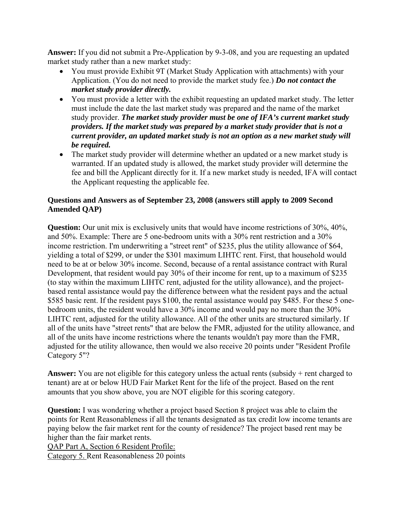**Answer:** If you did not submit a Pre-Application by 9-3-08, and you are requesting an updated market study rather than a new market study:

- You must provide Exhibit 9T (Market Study Application with attachments) with your Application. (You do not need to provide the market study fee.) *Do not contact the market study provider directly.*
- You must provide a letter with the exhibit requesting an updated market study. The letter must include the date the last market study was prepared and the name of the market study provider. *The market study provider must be one of IFA's current market study providers. If the market study was prepared by a market study provider that is not a current provider, an updated market study is not an option as a new market study will be required.*
- The market study provider will determine whether an updated or a new market study is warranted. If an updated study is allowed, the market study provider will determine the fee and bill the Applicant directly for it. If a new market study is needed, IFA will contact the Applicant requesting the applicable fee.

## **Questions and Answers as of September 23, 2008 (answers still apply to 2009 Second Amended QAP)**

**Question:** Our unit mix is exclusively units that would have income restrictions of 30%, 40%, and 50%. Example: There are 5 one-bedroom units with a 30% rent restriction and a 30% income restriction. I'm underwriting a "street rent" of \$235, plus the utility allowance of \$64, yielding a total of \$299, or under the \$301 maximum LIHTC rent. First, that household would need to be at or below 30% income. Second, because of a rental assistance contract with Rural Development, that resident would pay 30% of their income for rent, up to a maximum of \$235 (to stay within the maximum LIHTC rent, adjusted for the utility allowance), and the projectbased rental assistance would pay the difference between what the resident pays and the actual \$585 basic rent. If the resident pays \$100, the rental assistance would pay \$485. For these 5 onebedroom units, the resident would have a 30% income and would pay no more than the 30% LIHTC rent, adjusted for the utility allowance. All of the other units are structured similarly. If all of the units have "street rents" that are below the FMR, adjusted for the utility allowance, and all of the units have income restrictions where the tenants wouldn't pay more than the FMR, adjusted for the utility allowance, then would we also receive 20 points under "Resident Profile Category 5"?

**Answer:** You are not eligible for this category unless the actual rents (subsidy + rent charged to tenant) are at or below HUD Fair Market Rent for the life of the project. Based on the rent amounts that you show above, you are NOT eligible for this scoring category.

**Question:** I was wondering whether a project based Section 8 project was able to claim the points for Rent Reasonableness if all the tenants designated as tax credit low income tenants are paying below the fair market rent for the county of residence? The project based rent may be higher than the fair market rents.

QAP Part A, Section 6 Resident Profile:

Category 5. Rent Reasonableness 20 points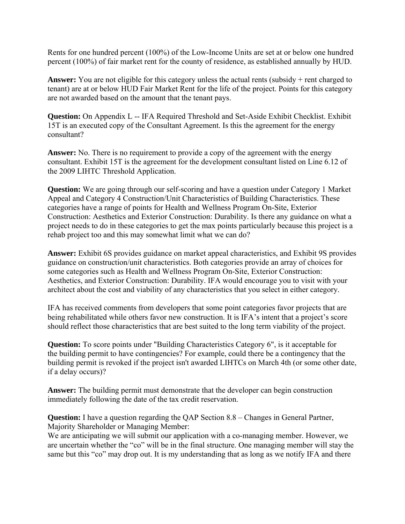Rents for one hundred percent (100%) of the Low-Income Units are set at or below one hundred percent (100%) of fair market rent for the county of residence, as established annually by HUD.

Answer: You are not eligible for this category unless the actual rents (subsidy + rent charged to tenant) are at or below HUD Fair Market Rent for the life of the project. Points for this category are not awarded based on the amount that the tenant pays.

**Question:** On Appendix L -- IFA Required Threshold and Set-Aside Exhibit Checklist. Exhibit 15T is an executed copy of the Consultant Agreement. Is this the agreement for the energy consultant?

**Answer:** No. There is no requirement to provide a copy of the agreement with the energy consultant. Exhibit 15T is the agreement for the development consultant listed on Line 6.12 of the 2009 LIHTC Threshold Application.

**Question:** We are going through our self-scoring and have a question under Category 1 Market Appeal and Category 4 Construction/Unit Characteristics of Building Characteristics. These categories have a range of points for Health and Wellness Program On-Site, Exterior Construction: Aesthetics and Exterior Construction: Durability. Is there any guidance on what a project needs to do in these categories to get the max points particularly because this project is a rehab project too and this may somewhat limit what we can do?

**Answer:** Exhibit 6S provides guidance on market appeal characteristics, and Exhibit 9S provides guidance on construction/unit characteristics. Both categories provide an array of choices for some categories such as Health and Wellness Program On-Site, Exterior Construction: Aesthetics, and Exterior Construction: Durability. IFA would encourage you to visit with your architect about the cost and viability of any characteristics that you select in either category.

IFA has received comments from developers that some point categories favor projects that are being rehabilitated while others favor new construction. It is IFA's intent that a project's score should reflect those characteristics that are best suited to the long term viability of the project.

**Question:** To score points under "Building Characteristics Category 6", is it acceptable for the building permit to have contingencies? For example, could there be a contingency that the building permit is revoked if the project isn't awarded LIHTCs on March 4th (or some other date, if a delay occurs)?

**Answer:** The building permit must demonstrate that the developer can begin construction immediately following the date of the tax credit reservation.

**Question:** I have a question regarding the QAP Section 8.8 – Changes in General Partner, Majority Shareholder or Managing Member:

We are anticipating we will submit our application with a co-managing member. However, we are uncertain whether the "co" will be in the final structure. One managing member will stay the same but this "co" may drop out. It is my understanding that as long as we notify IFA and there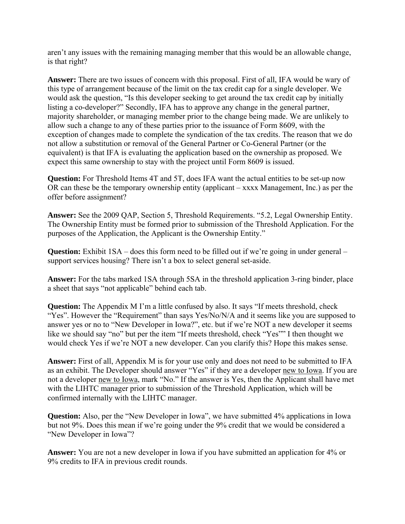aren't any issues with the remaining managing member that this would be an allowable change, is that right?

**Answer:** There are two issues of concern with this proposal. First of all, IFA would be wary of this type of arrangement because of the limit on the tax credit cap for a single developer. We would ask the question, "Is this developer seeking to get around the tax credit cap by initially listing a co-developer?" Secondly, IFA has to approve any change in the general partner, majority shareholder, or managing member prior to the change being made. We are unlikely to allow such a change to any of these parties prior to the issuance of Form 8609, with the exception of changes made to complete the syndication of the tax credits. The reason that we do not allow a substitution or removal of the General Partner or Co-General Partner (or the equivalent) is that IFA is evaluating the application based on the ownership as proposed. We expect this same ownership to stay with the project until Form 8609 is issued.

**Question:** For Threshold Items 4T and 5T, does IFA want the actual entities to be set-up now OR can these be the temporary ownership entity (applicant – xxxx Management, Inc.) as per the offer before assignment?

**Answer:** See the 2009 QAP, Section 5, Threshold Requirements. "5.2, Legal Ownership Entity. The Ownership Entity must be formed prior to submission of the Threshold Application. For the purposes of the Application, the Applicant is the Ownership Entity."

**Question:** Exhibit 1SA – does this form need to be filled out if we're going in under general – support services housing? There isn't a box to select general set-aside.

**Answer:** For the tabs marked 1SA through 5SA in the threshold application 3-ring binder, place a sheet that says "not applicable" behind each tab.

**Question:** The Appendix M I'm a little confused by also. It says "If meets threshold, check "Yes". However the "Requirement" than says Yes/No/N/A and it seems like you are supposed to answer yes or no to "New Developer in Iowa?", etc. but if we're NOT a new developer it seems like we should say "no" but per the item "If meets threshold, check "Yes"" I then thought we would check Yes if we're NOT a new developer. Can you clarify this? Hope this makes sense.

**Answer:** First of all, Appendix M is for your use only and does not need to be submitted to IFA as an exhibit. The Developer should answer "Yes" if they are a developer new to Iowa. If you are not a developer new to Iowa, mark "No." If the answer is Yes, then the Applicant shall have met with the LIHTC manager prior to submission of the Threshold Application, which will be confirmed internally with the LIHTC manager.

**Question:** Also, per the "New Developer in Iowa", we have submitted 4% applications in Iowa but not 9%. Does this mean if we're going under the 9% credit that we would be considered a "New Developer in Iowa"?

**Answer:** You are not a new developer in Iowa if you have submitted an application for 4% or 9% credits to IFA in previous credit rounds.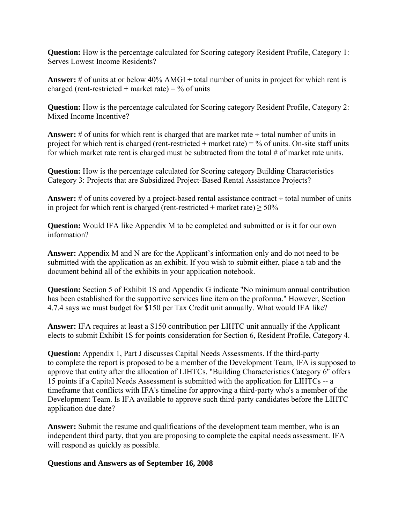**Question:** How is the percentage calculated for Scoring category Resident Profile, Category 1: Serves Lowest Income Residents?

**Answer:** # of units at or below  $40\%$  AMGI  $\div$  total number of units in project for which rent is charged (rent-restricted + market rate) =  $\%$  of units

**Question:** How is the percentage calculated for Scoring category Resident Profile, Category 2: Mixed Income Incentive?

**Answer:** # of units for which rent is charged that are market rate  $\div$  total number of units in project for which rent is charged (rent-restricted + market rate) =  $\%$  of units. On-site staff units for which market rate rent is charged must be subtracted from the total  $#$  of market rate units.

**Question:** How is the percentage calculated for Scoring category Building Characteristics Category 3: Projects that are Subsidized Project-Based Rental Assistance Projects?

**Answer:** # of units covered by a project-based rental assistance contract  $\div$  total number of units in project for which rent is charged (rent-restricted + market rate)  $\geq$  50%

**Question:** Would IFA like Appendix M to be completed and submitted or is it for our own information?

**Answer:** Appendix M and N are for the Applicant's information only and do not need to be submitted with the application as an exhibit. If you wish to submit either, place a tab and the document behind all of the exhibits in your application notebook.

**Question:** Section 5 of Exhibit 1S and Appendix G indicate "No minimum annual contribution has been established for the supportive services line item on the proforma." However, Section 4.7.4 says we must budget for \$150 per Tax Credit unit annually. What would IFA like?

**Answer:** IFA requires at least a \$150 contribution per LIHTC unit annually if the Applicant elects to submit Exhibit 1S for points consideration for Section 6, Resident Profile, Category 4.

**Question:** Appendix 1, Part J discusses Capital Needs Assessments. If the third-party to complete the report is proposed to be a member of the Development Team, IFA is supposed to approve that entity after the allocation of LIHTCs. "Building Characteristics Category 6" offers 15 points if a Capital Needs Assessment is submitted with the application for LIHTCs -- a timeframe that conflicts with IFA's timeline for approving a third-party who's a member of the Development Team. Is IFA available to approve such third-party candidates before the LIHTC application due date?

**Answer:** Submit the resume and qualifications of the development team member, who is an independent third party, that you are proposing to complete the capital needs assessment. IFA will respond as quickly as possible.

### **Questions and Answers as of September 16, 2008**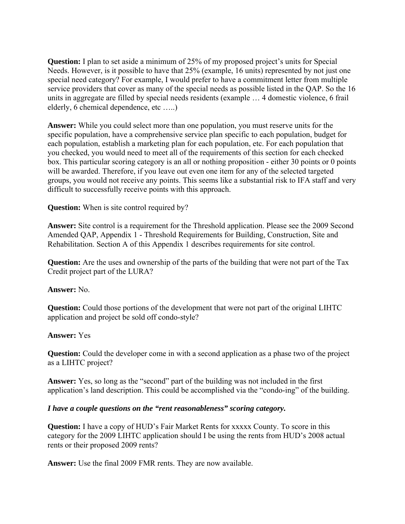**Question:** I plan to set aside a minimum of 25% of my proposed project's units for Special Needs. However, is it possible to have that 25% (example, 16 units) represented by not just one special need category? For example, I would prefer to have a commitment letter from multiple service providers that cover as many of the special needs as possible listed in the QAP. So the 16 units in aggregate are filled by special needs residents (example … 4 domestic violence, 6 frail elderly, 6 chemical dependence, etc …..)

**Answer:** While you could select more than one population, you must reserve units for the specific population, have a comprehensive service plan specific to each population, budget for each population, establish a marketing plan for each population, etc. For each population that you checked, you would need to meet all of the requirements of this section for each checked box. This particular scoring category is an all or nothing proposition - either 30 points or 0 points will be awarded. Therefore, if you leave out even one item for any of the selected targeted groups, you would not receive any points. This seems like a substantial risk to IFA staff and very difficult to successfully receive points with this approach.

**Question:** When is site control required by?

**Answer:** Site control is a requirement for the Threshold application. Please see the 2009 Second Amended QAP, Appendix 1 - Threshold Requirements for Building, Construction, Site and Rehabilitation. Section A of this Appendix 1 describes requirements for site control.

**Question:** Are the uses and ownership of the parts of the building that were not part of the Tax Credit project part of the LURA?

**Answer:** No.

**Question:** Could those portions of the development that were not part of the original LIHTC application and project be sold off condo-style?

#### **Answer:** Yes

**Question:** Could the developer come in with a second application as a phase two of the project as a LIHTC project?

**Answer:** Yes, so long as the "second" part of the building was not included in the first application's land description. This could be accomplished via the "condo-ing" of the building.

#### *I have a couple questions on the "rent reasonableness" scoring category.*

**Question:** I have a copy of HUD's Fair Market Rents for xxxxx County. To score in this category for the 2009 LIHTC application should I be using the rents from HUD's 2008 actual rents or their proposed 2009 rents?

**Answer:** Use the final 2009 FMR rents. They are now available.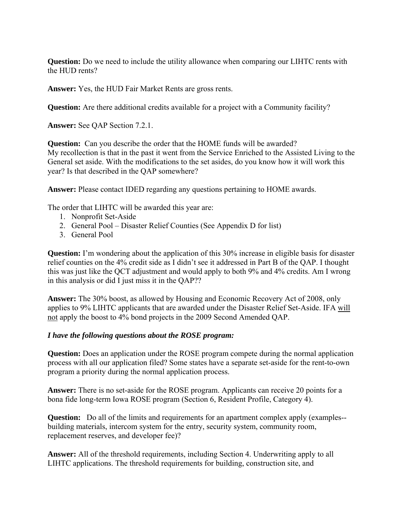**Question:** Do we need to include the utility allowance when comparing our LIHTC rents with the HUD rents?

**Answer:** Yes, the HUD Fair Market Rents are gross rents.

**Question:** Are there additional credits available for a project with a Community facility?

**Answer:** See QAP Section 7.2.1.

**Question:** Can you describe the order that the HOME funds will be awarded? My recollection is that in the past it went from the Service Enriched to the Assisted Living to the General set aside. With the modifications to the set asides, do you know how it will work this year? Is that described in the QAP somewhere?

**Answer:** Please contact IDED regarding any questions pertaining to HOME awards.

The order that LIHTC will be awarded this year are:

- 1. Nonprofit Set-Aside
- 2. General Pool Disaster Relief Counties (See Appendix D for list)
- 3. General Pool

**Question:** I'm wondering about the application of this 30% increase in eligible basis for disaster relief counties on the 4% credit side as I didn't see it addressed in Part B of the QAP. I thought this was just like the QCT adjustment and would apply to both 9% and 4% credits. Am I wrong in this analysis or did I just miss it in the QAP??

**Answer:** The 30% boost, as allowed by Housing and Economic Recovery Act of 2008, only applies to 9% LIHTC applicants that are awarded under the Disaster Relief Set-Aside. IFA will not apply the boost to 4% bond projects in the 2009 Second Amended QAP.

#### *I have the following questions about the ROSE program:*

**Question:** Does an application under the ROSE program compete during the normal application process with all our application filed? Some states have a separate set-aside for the rent-to-own program a priority during the normal application process.

**Answer:** There is no set-aside for the ROSE program. Applicants can receive 20 points for a bona fide long-term Iowa ROSE program (Section 6, Resident Profile, Category 4).

**Question:** Do all of the limits and requirements for an apartment complex apply (examples-building materials, intercom system for the entry, security system, community room, replacement reserves, and developer fee)?

**Answer:** All of the threshold requirements, including Section 4. Underwriting apply to all LIHTC applications. The threshold requirements for building, construction site, and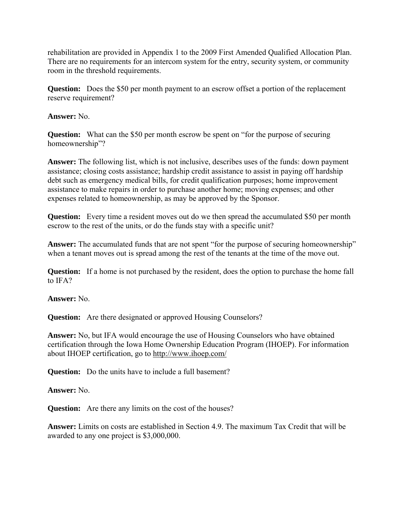rehabilitation are provided in Appendix 1 to the 2009 First Amended Qualified Allocation Plan. There are no requirements for an intercom system for the entry, security system, or community room in the threshold requirements.

**Question:** Does the \$50 per month payment to an escrow offset a portion of the replacement reserve requirement?

**Answer:** No.

**Question:** What can the \$50 per month escrow be spent on "for the purpose of securing homeownership"?

**Answer:** The following list, which is not inclusive, describes uses of the funds: down payment assistance; closing costs assistance; hardship credit assistance to assist in paying off hardship debt such as emergency medical bills, for credit qualification purposes; home improvement assistance to make repairs in order to purchase another home; moving expenses; and other expenses related to homeownership, as may be approved by the Sponsor.

**Question:** Every time a resident moves out do we then spread the accumulated \$50 per month escrow to the rest of the units, or do the funds stay with a specific unit?

Answer: The accumulated funds that are not spent "for the purpose of securing homeownership" when a tenant moves out is spread among the rest of the tenants at the time of the move out.

**Question:** If a home is not purchased by the resident, does the option to purchase the home fall to IFA?

**Answer:** No.

**Question:** Are there designated or approved Housing Counselors?

**Answer:** No, but IFA would encourage the use of Housing Counselors who have obtained certification through the Iowa Home Ownership Education Program (IHOEP). For information about IHOEP certification, go to<http://www.ihoep.com/>

**Question:** Do the units have to include a full basement?

**Answer:** No.

**Question:** Are there any limits on the cost of the houses?

**Answer:** Limits on costs are established in Section 4.9. The maximum Tax Credit that will be awarded to any one project is \$3,000,000.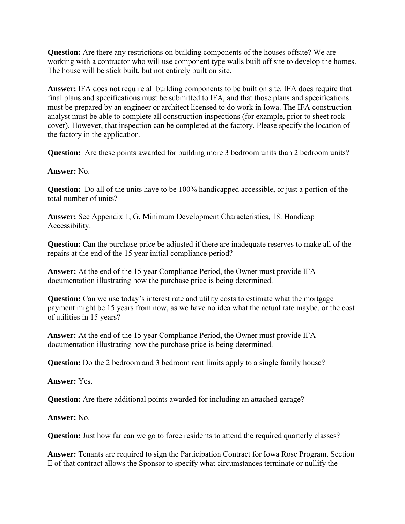**Question:** Are there any restrictions on building components of the houses offsite? We are working with a contractor who will use component type walls built off site to develop the homes. The house will be stick built, but not entirely built on site.

**Answer:** IFA does not require all building components to be built on site. IFA does require that final plans and specifications must be submitted to IFA, and that those plans and specifications must be prepared by an engineer or architect licensed to do work in Iowa. The IFA construction analyst must be able to complete all construction inspections (for example, prior to sheet rock cover). However, that inspection can be completed at the factory. Please specify the location of the factory in the application.

**Question:** Are these points awarded for building more 3 bedroom units than 2 bedroom units?

**Answer:** No.

**Question:** Do all of the units have to be 100% handicapped accessible, or just a portion of the total number of units?

**Answer:** See Appendix 1, G. Minimum Development Characteristics, 18. Handicap Accessibility.

**Question:** Can the purchase price be adjusted if there are inadequate reserves to make all of the repairs at the end of the 15 year initial compliance period?

**Answer:** At the end of the 15 year Compliance Period, the Owner must provide IFA documentation illustrating how the purchase price is being determined.

**Question:** Can we use today's interest rate and utility costs to estimate what the mortgage payment might be 15 years from now, as we have no idea what the actual rate maybe, or the cost of utilities in 15 years?

**Answer:** At the end of the 15 year Compliance Period, the Owner must provide IFA documentation illustrating how the purchase price is being determined.

**Question:** Do the 2 bedroom and 3 bedroom rent limits apply to a single family house?

**Answer:** Yes.

**Question:** Are there additional points awarded for including an attached garage?

**Answer:** No.

**Question:** Just how far can we go to force residents to attend the required quarterly classes?

**Answer:** Tenants are required to sign the Participation Contract for Iowa Rose Program. Section E of that contract allows the Sponsor to specify what circumstances terminate or nullify the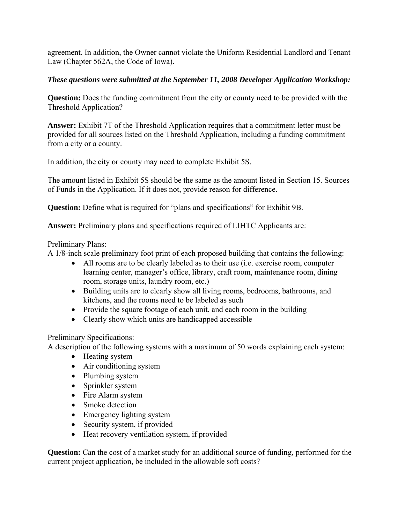agreement. In addition, the Owner cannot violate the Uniform Residential Landlord and Tenant Law (Chapter 562A, the Code of Iowa).

## *These questions were submitted at the September 11, 2008 Developer Application Workshop:*

**Question:** Does the funding commitment from the city or county need to be provided with the Threshold Application?

**Answer:** Exhibit 7T of the Threshold Application requires that a commitment letter must be provided for all sources listed on the Threshold Application, including a funding commitment from a city or a county.

In addition, the city or county may need to complete Exhibit 5S.

The amount listed in Exhibit 5S should be the same as the amount listed in Section 15. Sources of Funds in the Application. If it does not, provide reason for difference.

**Question:** Define what is required for "plans and specifications" for Exhibit 9B.

**Answer:** Preliminary plans and specifications required of LIHTC Applicants are:

### Preliminary Plans:

A 1/8-inch scale preliminary foot print of each proposed building that contains the following:

- All rooms are to be clearly labeled as to their use (i.e. exercise room, computer learning center, manager's office, library, craft room, maintenance room, dining room, storage units, laundry room, etc.)
- Building units are to clearly show all living rooms, bedrooms, bathrooms, and kitchens, and the rooms need to be labeled as such
- Provide the square footage of each unit, and each room in the building
- Clearly show which units are handicapped accessible

# Preliminary Specifications:

A description of the following systems with a maximum of 50 words explaining each system:

- Heating system
- Air conditioning system
- Plumbing system
- Sprinkler system
- Fire Alarm system
- Smoke detection
- Emergency lighting system
- Security system, if provided
- Heat recovery ventilation system, if provided

**Question:** Can the cost of a market study for an additional source of funding, performed for the current project application, be included in the allowable soft costs?